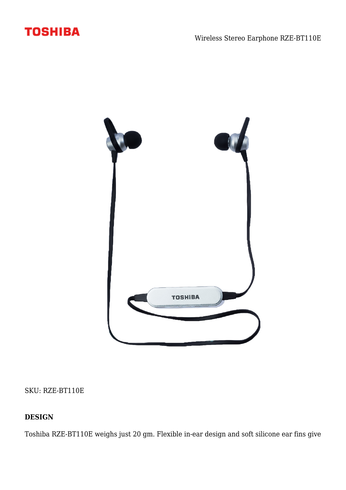



SKU: RZE-BT110E

## **DESIGN**

Toshiba RZE-BT110E weighs just 20 gm. Flexible in-ear design and soft silicone ear fins give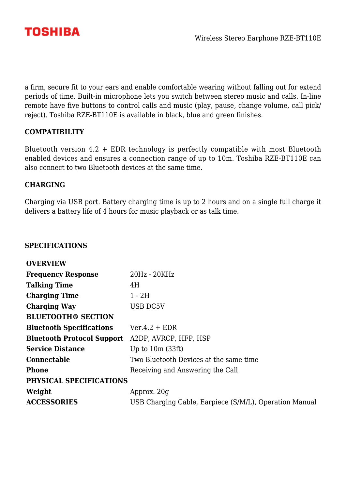

a firm, secure fit to your ears and enable comfortable wearing without falling out for extend periods of time. Built-in microphone lets you switch between stereo music and calls. In-line remote have five buttons to control calls and music (play, pause, change volume, call pick/ reject). Toshiba RZE-BT110E is available in black, blue and green finishes.

### **COMPATIBILITY**

Bluetooth version 4.2 + EDR technology is perfectly compatible with most Bluetooth enabled devices and ensures a connection range of up to 10m. Toshiba RZE-BT110E can also connect to two Bluetooth devices at the same time.

#### **CHARGING**

Charging via USB port. Battery charging time is up to 2 hours and on a single full charge it delivers a battery life of 4 hours for music playback or as talk time.

#### **SPECIFICATIONS**

| <b>OVERVIEW</b>                   |                                                        |
|-----------------------------------|--------------------------------------------------------|
| <b>Frequency Response</b>         | 20Hz - 20KHz                                           |
| <b>Talking Time</b>               | 4H                                                     |
| <b>Charging Time</b>              | 1 - 2H                                                 |
| <b>Charging Way</b>               | <b>USB DC5V</b>                                        |
| <b>BLUETOOTH® SECTION</b>         |                                                        |
| <b>Bluetooth Specifications</b>   | $Ver.4.2 + EDR$                                        |
| <b>Bluetooth Protocol Support</b> | A2DP, AVRCP, HFP, HSP                                  |
| <b>Service Distance</b>           | Up to $10m(33ft)$                                      |
| <b>Connectable</b>                | Two Bluetooth Devices at the same time                 |
| <b>Phone</b>                      | Receiving and Answering the Call                       |
| PHYSICAL SPECIFICATIONS           |                                                        |
| Weight                            | Approx. 20g                                            |
| <b>ACCESSORIES</b>                | USB Charging Cable, Earpiece (S/M/L), Operation Manual |